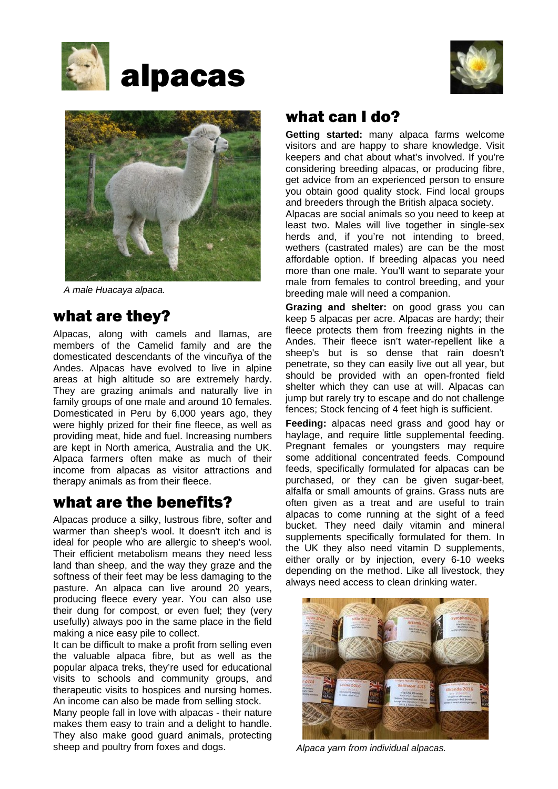





*A male Huacaya alpaca.*

## what are they?

Alpacas, along with camels and llamas, are members of the Camelid family and are the domesticated descendants of the vincuñya of the Andes. Alpacas have evolved to live in alpine areas at high altitude so are extremely hardy. They are grazing animals and naturally live in family groups of one male and around 10 females. Domesticated in Peru by 6,000 years ago, they were highly prized for their fine fleece, as well as providing meat, hide and fuel. Increasing numbers are kept in North america, Australia and the UK. Alpaca farmers often make as much of their income from alpacas as visitor attractions and therapy animals as from their fleece.

### what are the benefits?

Alpacas produce a silky, lustrous fibre, softer and warmer than sheep's wool. It doesn't itch and is ideal for people who are allergic to sheep's wool. Their efficient metabolism means they need less land than sheep, and the way they graze and the softness of their feet may be less damaging to the pasture. An alpaca can live around 20 years, producing fleece every year. You can also use their dung for compost, or even fuel; they (very usefully) always poo in the same place in the field making a nice easy pile to collect.

It can be difficult to make a profit from selling even the valuable alpaca fibre, but as well as the popular alpaca treks, they're used for educational visits to schools and community groups, and therapeutic visits to hospices and nursing homes. An income can also be made from selling stock.

Many people fall in love with alpacas - their nature makes them easy to train and a delight to handle. They also make good guard animals, protecting sheep and poultry from foxes and dogs.

### what can I do?

**Getting started:** many alpaca farms welcome visitors and are happy to share knowledge. Visit keepers and chat about what's involved. If you're considering breeding alpacas, or producing fibre, get advice from an experienced person to ensure you obtain good quality stock. Find local groups and breeders through the British alpaca society.

Alpacas are social animals so you need to keep at least two. Males will live together in single-sex herds and, if you're not intending to breed, wethers (castrated males) are can be the most affordable option. If breeding alpacas you need more than one male. You'll want to separate your male from females to control breeding, and your breeding male will need a companion.

**Grazing and shelter:** on good grass you can keep 5 alpacas per acre. Alpacas are hardy; their fleece protects them from freezing nights in the Andes. Their fleece isn't water-repellent like a sheep's but is so dense that rain doesn't penetrate, so they can easily live out all year, but should be provided with an open-fronted field shelter which they can use at will. Alpacas can jump but rarely try to escape and do not challenge fences; Stock fencing of 4 feet high is sufficient.

**Feeding:** alpacas need grass and good hay or haylage, and require little supplemental feeding. Pregnant females or youngsters may require some additional concentrated feeds. Compound feeds, specifically formulated for alpacas can be purchased, or they can be given sugar-beet, alfalfa or small amounts of grains. Grass nuts are often given as a treat and are useful to train alpacas to come running at the sight of a feed bucket. They need daily vitamin and mineral supplements specifically formulated for them. In the UK they also need vitamin D supplements, either orally or by injection, every 6-10 weeks depending on the method. Like all livestock, they always need access to clean drinking water.



*Alpaca yarn from individual alpacas.*